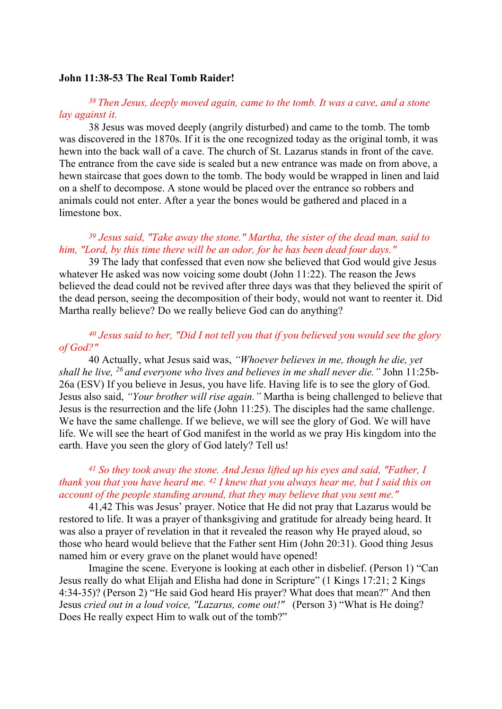#### John 11:38-53 The Real Tomb Raider!

#### <sup>38</sup>Then Jesus, deeply moved again, came to the tomb. It was a cave, and a stone lay against it.

38 Jesus was moved deeply (angrily disturbed) and came to the tomb. The tomb was discovered in the 1870s. If it is the one recognized today as the original tomb, it was hewn into the back wall of a cave. The church of St. Lazarus stands in front of the cave. The entrance from the cave side is sealed but a new entrance was made on from above, a hewn staircase that goes down to the tomb. The body would be wrapped in linen and laid on a shelf to decompose. A stone would be placed over the entrance so robbers and animals could not enter. After a year the bones would be gathered and placed in a limestone box.

# $39$  Jesus said, "Take away the stone." Martha, the sister of the dead man, said to him, "Lord, by this time there will be an odor, for he has been dead four days."

39 The lady that confessed that even now she believed that God would give Jesus whatever He asked was now voicing some doubt (John 11:22). The reason the Jews believed the dead could not be revived after three days was that they believed the spirit of the dead person, seeing the decomposition of their body, would not want to reenter it. Did Martha really believe? Do we really believe God can do anything?

## $40$  Jesus said to her, "Did I not tell you that if you believed you would see the glory of God?"

40 Actually, what Jesus said was, "Whoever believes in me, though he die, yet shall he live,  $^{26}$  and everyone who lives and believes in me shall never die." John 11:25b-26a (ESV) If you believe in Jesus, you have life. Having life is to see the glory of God. Jesus also said, "Your brother will rise again." Martha is being challenged to believe that Jesus is the resurrection and the life (John 11:25). The disciples had the same challenge. We have the same challenge. If we believe, we will see the glory of God. We will have life. We will see the heart of God manifest in the world as we pray His kingdom into the earth. Have you seen the glory of God lately? Tell us!

## $41$  So they took away the stone. And Jesus lifted up his eyes and said, "Father, I thank you that you have heard me.  $42$  I knew that you always hear me, but I said this on account of the people standing around, that they may believe that you sent me."

41,42 This was Jesus' prayer. Notice that He did not pray that Lazarus would be restored to life. It was a prayer of thanksgiving and gratitude for already being heard. It was also a prayer of revelation in that it revealed the reason why He prayed aloud, so those who heard would believe that the Father sent Him (John 20:31). Good thing Jesus named him or every grave on the planet would have opened!

 Imagine the scene. Everyone is looking at each other in disbelief. (Person 1) "Can Jesus really do what Elijah and Elisha had done in Scripture" (1 Kings 17:21; 2 Kings 4:34-35)? (Person 2) "He said God heard His prayer? What does that mean?" And then Jesus cried out in a loud voice, "Lazarus, come out!" (Person 3) "What is He doing? Does He really expect Him to walk out of the tomb?"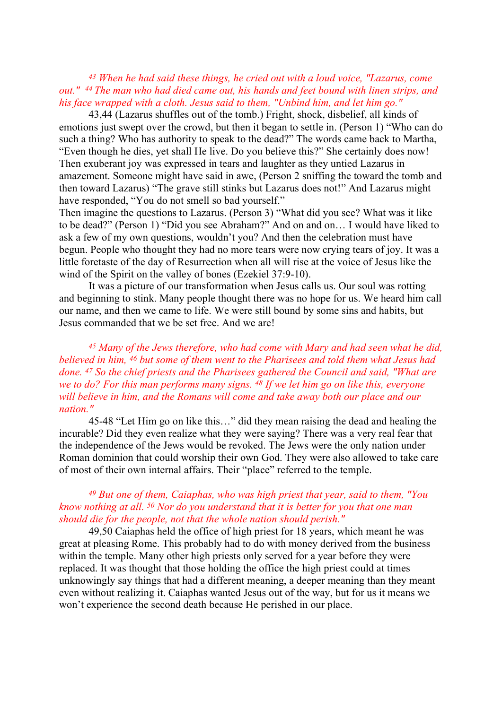## <sup>43</sup> When he had said these things, he cried out with a loud voice, "Lazarus, come out." <sup>44</sup> The man who had died came out, his hands and feet bound with linen strips, and his face wrapped with a cloth. Jesus said to them, "Unbind him, and let him go."

43,44 (Lazarus shuffles out of the tomb.) Fright, shock, disbelief, all kinds of emotions just swept over the crowd, but then it began to settle in. (Person 1) "Who can do such a thing? Who has authority to speak to the dead?" The words came back to Martha, "Even though he dies, yet shall He live. Do you believe this?" She certainly does now! Then exuberant joy was expressed in tears and laughter as they untied Lazarus in amazement. Someone might have said in awe, (Person 2 sniffing the toward the tomb and then toward Lazarus) "The grave still stinks but Lazarus does not!" And Lazarus might have responded, "You do not smell so bad yourself."

Then imagine the questions to Lazarus. (Person 3) "What did you see? What was it like to be dead?" (Person 1) "Did you see Abraham?" And on and on… I would have liked to ask a few of my own questions, wouldn't you? And then the celebration must have begun. People who thought they had no more tears were now crying tears of joy. It was a little foretaste of the day of Resurrection when all will rise at the voice of Jesus like the wind of the Spirit on the valley of bones (Ezekiel 37:9-10).

 It was a picture of our transformation when Jesus calls us. Our soul was rotting and beginning to stink. Many people thought there was no hope for us. We heard him call our name, and then we came to life. We were still bound by some sins and habits, but Jesus commanded that we be set free. And we are!

 $45$  Many of the Jews therefore, who had come with Mary and had seen what he did, believed in him, 46 but some of them went to the Pharisees and told them what Jesus had done. <sup>47</sup> So the chief priests and the Pharisees gathered the Council and said, "What are we to do? For this man performs many signs. <sup>48</sup> If we let him go on like this, everyone will believe in him, and the Romans will come and take away both our place and our nation."

45-48 "Let Him go on like this…" did they mean raising the dead and healing the incurable? Did they even realize what they were saying? There was a very real fear that the independence of the Jews would be revoked. The Jews were the only nation under Roman dominion that could worship their own God. They were also allowed to take care of most of their own internal affairs. Their "place" referred to the temple.

# $49$  But one of them, Caiaphas, who was high priest that year, said to them, "You know nothing at all.  $50$  Nor do you understand that it is better for you that one man should die for the people, not that the whole nation should perish."

49,50 Caiaphas held the office of high priest for 18 years, which meant he was great at pleasing Rome. This probably had to do with money derived from the business within the temple. Many other high priests only served for a year before they were replaced. It was thought that those holding the office the high priest could at times unknowingly say things that had a different meaning, a deeper meaning than they meant even without realizing it. Caiaphas wanted Jesus out of the way, but for us it means we won't experience the second death because He perished in our place.